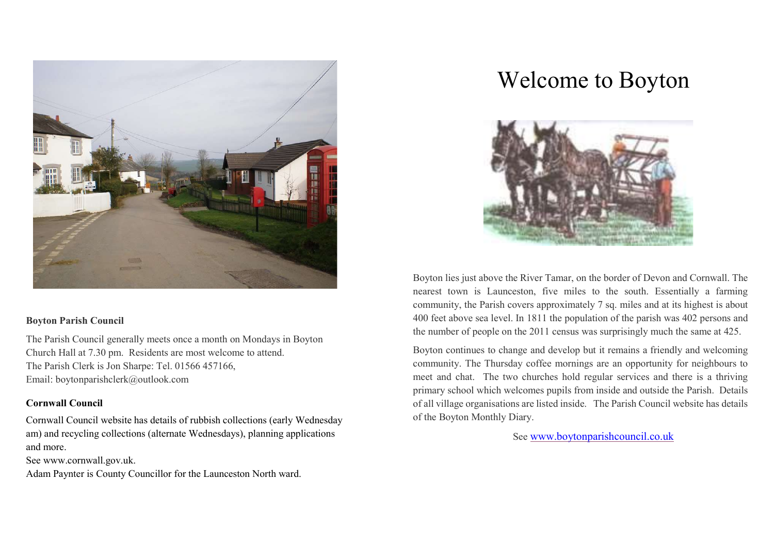

#### Boyton Parish Council

The Parish Council generally meets once a month on Mondays in Boyton Church Hall at 7.30 pm. Residents are most welcome to attend. The Parish Clerk is Jon Sharpe: Tel. 01566 457166, Email: boytonparishclerk@outlook.com

#### Cornwall Council

Cornwall Council website has details of rubbish collections (early Wednesday am) and recycling collections (alternate Wednesdays), planning applications and more.

See www.cornwall.gov.uk.

Adam Paynter is County Councillor for the Launceston North ward.

# Welcome to Boyton



Boyton lies just above the River Tamar, on the border of Devon and Cornwall. The nearest town is Launceston, five miles to the south. Essentially a farming community, the Parish covers approximately 7 sq. miles and at its highest is about 400 feet above sea level. In 1811 the population of the parish was 402 persons and the number of people on the 2011 census was surprisingly much the same at 425.

Boyton continues to change and develop but it remains a friendly and welcoming community. The Thursday coffee mornings are an opportunity for neighbours to meet and chat. The two churches hold regular services and there is a thriving primary school which welcomes pupils from inside and outside the Parish. Details of all village organisations are listed inside. The Parish Council website has details of the Boyton Monthly Diary.

See www.boytonparishcouncil.co.uk